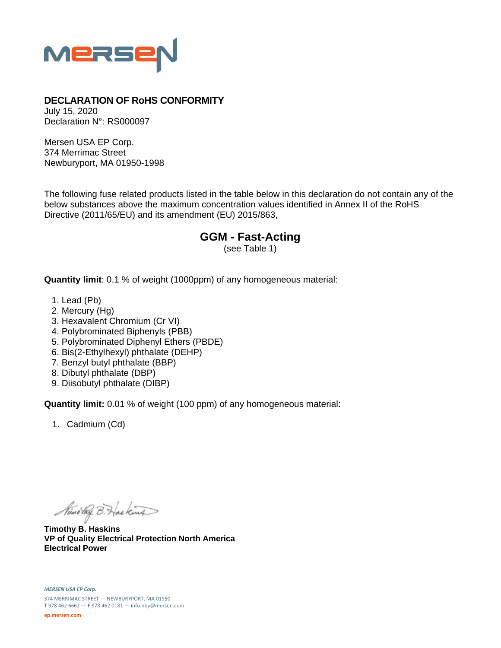

## **DECLARATION OF RoHS CONFORMITY**

July 15, 2020 Declaration N°: RS000097

Mersen USA EP Corp. 374 Merrimac Street Newburyport, MA 01950-1998

The following fuse related products listed in the table below in this declaration do not contain any of the below substances above the maximum concentration values identified in Annex II of the RoHS Directive (2011/65/EU) and its amendment (EU) 2015/863,

## **GGM - Fast-Acting**

(see Table 1)

**Quantity limit**: 0.1 % of weight (1000ppm) of any homogeneous material:

- 1. Lead (Pb)
- 2. Mercury (Hg)
- 3. Hexavalent Chromium (Cr VI)
- 4. Polybrominated Biphenyls (PBB)
- 5. Polybrominated Diphenyl Ethers (PBDE)
- 6. Bis(2-Ethylhexyl) phthalate (DEHP)
- 7. Benzyl butyl phthalate (BBP)
- 8. Dibutyl phthalate (DBP)
- 9. Diisobutyl phthalate (DIBP)

**Quantity limit:** 0.01 % of weight (100 ppm) of any homogeneous material:

1. Cadmium (Cd)

Ministry B. Haskins

**Timothy B. Haskins VP of Quality Electrical Protection North America Electrical Power**